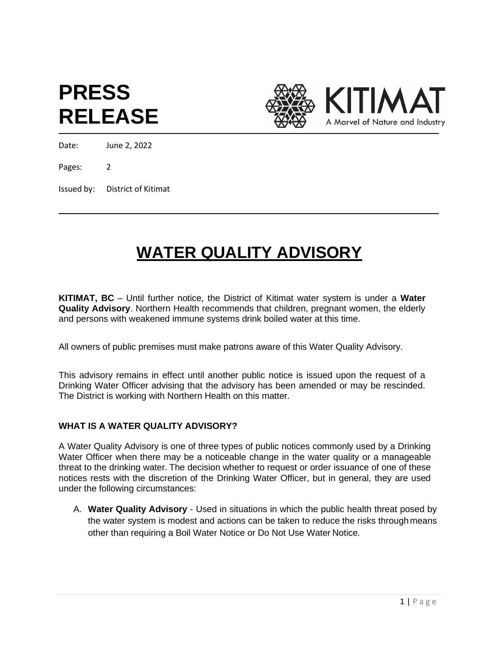## **PRESS RELEASE**



Date: June 2, 2022

Pages: 2

Issued by: District of Kitimat

## **WATER QUALITY ADVISORY**

**KITIMAT, BC** – Until further notice, the District of Kitimat water system is under a **Water Quality Advisory**. Northern Health recommends that children, pregnant women, the elderly and persons with weakened immune systems drink boiled water at this time.

All owners of public premises must make patrons aware of this Water Quality Advisory.

This advisory remains in effect until another public notice is issued upon the request of a Drinking Water Officer advising that the advisory has been amended or may be rescinded. The District is working with Northern Health on this matter.

## **WHAT IS A WATER QUALITY ADVISORY?**

A Water Quality Advisory is one of three types of public notices commonly used by a Drinking Water Officer when there may be a noticeable change in the water quality or a manageable threat to the drinking water. The decision whether to request or order issuance of one of these notices rests with the discretion of the Drinking Water Officer, but in general, they are used under the following circumstances:

A. **Water Quality Advisory** - Used in situations in which the public health threat posed by the water system is modest and actions can be taken to reduce the risks throughmeans other than requiring a Boil Water Notice or Do Not Use Water Notice.